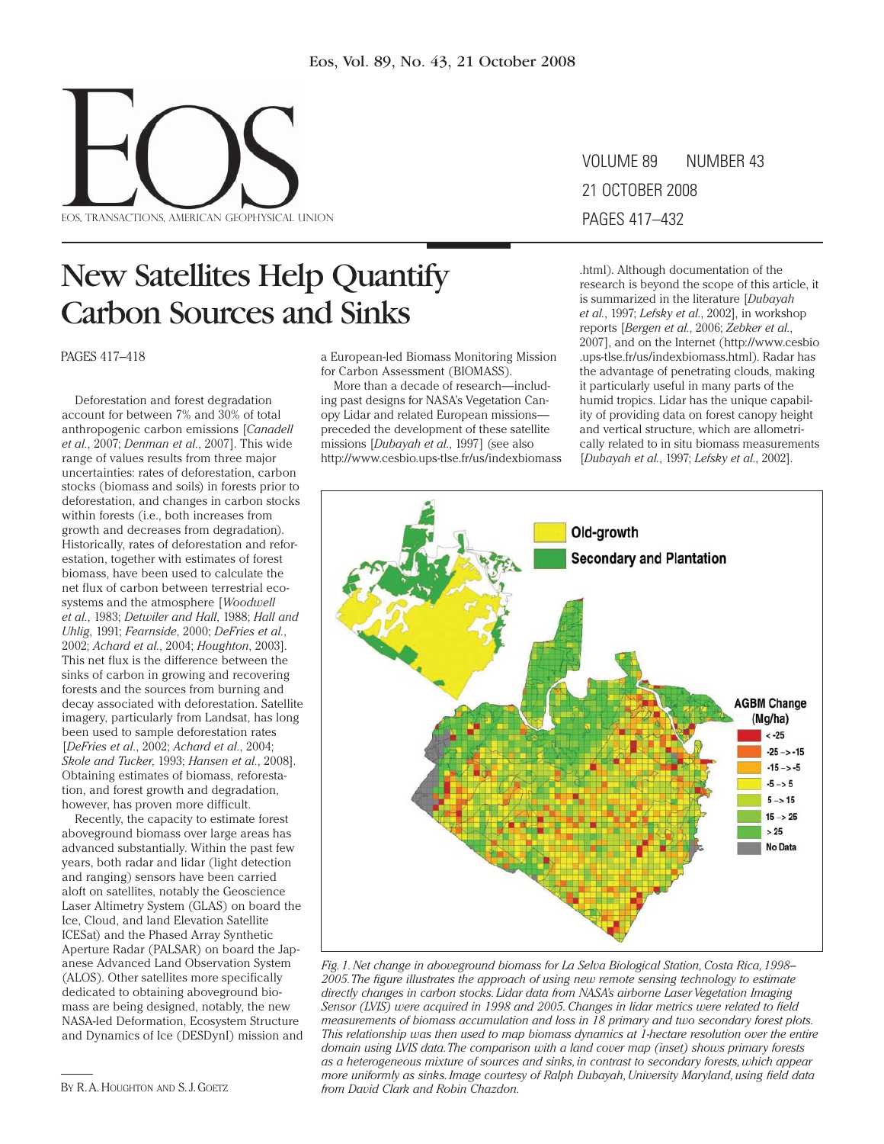

# New Satellites Help Quantify Carbon Sources and Sinks

PAGES 417–418

Deforestation and forest degradation account for between 7% and 30% of total anthropogenic carbon emissions [*Canadell et al.*, 2007; *Denman et al.*, 2007]. This wide range of values results from three major uncertainties: rates of deforestation, carbon stocks (biomass and soils) in forests prior to deforestation, and changes in carbon stocks within forests (i.e., both increases from growth and decreases from degradation). Historically, rates of deforestation and reforestation, together with estimates of forest biomass, have been used to calculate the net flux of carbon between terrestrial ecosystems and the atmosphere [*Woodwell et al.*, 1983; *Detwiler and Hall*, 1988; *Hall and Uhlig*, 1991; *Fearnside*, 2000; *DeFries et al.*, 2002; *Achard et al.*, 2004; *Houghton*, 2003]. This net flux is the difference between the sinks of carbon in growing and recovering forests and the sources from burning and decay associated with deforestation. Satellite imagery, particularly from Landsat, has long been used to sample deforestation rates [*DeFries et al.*, 2002; *Achard et al.*, 2004; *Skole and Tucker*, 1993; *Hansen et al.*, 2008]. Obtaining estimates of biomass, reforestation, and forest growth and degradation, however, has proven more difficult.

Recently, the capacity to estimate forest aboveground biomass over large areas has advanced substantially. Within the past few years, both radar and lidar (light detection and ranging) sensors have been carried aloft on satellites, notably the Geoscience Laser Altimetry System (GLAS) on board the Ice, Cloud, and land Elevation Satellite ICESat) and the Phased Array Synthetic Aperture Radar (PALSAR) on board the Japanese Advanced Land Observation System (ALOS). Other satellites more specifically dedicated to obtaining aboveground biomass are being designed, notably, the new NASA-led Deformation, Ecosystem Structure and Dynamics of Ice (DESDynI) mission and a European-led Biomass Monitoring Mission for Carbon Assessment (BIOMASS).

More than a decade of research—including past designs for NASA's Vegetation Canopy Lidar and related European missions preceded the development of these satellite missions [*Dubayah et al.*, 1997] (see also http://www.cesbio.ups-tlse.fr/us/indexbiomass VOLUME 89 NUMBER 43 21 OCTOBER 2008 PAGES 417–432

.html). Although documentation of the research is beyond the scope of this article, it is summarized in the literature [*Dubayah et al.*, 1997; *Lefsky et al.*, 2002], in workshop reports [*Bergen et al.*, 2006; *Zebker et al.*, 2007], and on the Internet (http://www.cesbio .ups -tlse .fr/ us/ indexbiomass .html). Radar has the advantage of penetrating clouds, making it particularly useful in many parts of the humid tropics. Lidar has the unique capability of providing data on forest canopy height and vertical structure, which are allometrically related to in situ biomass measurements [*Dubayah et al.*, 1997; *Lefsky et al.*, 2002].



*Fig. 1. Net change in aboveground biomass for La Selva Biological Station, Costa Rica, 1998– 2005. The figure illustrates the approach of using new remote sensing technology to estimate directly changes in carbon stocks. Lidar data from NASA's airborne Laser Vegetation Imaging Sensor (LVIS) were acquired in 1998 and 2005. Changes in lidar metrics were related to field measurements of biomass accumulation and loss in 18 primary and two secondary forest plots. This relationship was then used to map biomass dynamics at 1- hectare resolution over the entire domain using LVIS data. The comparison with a land cover map (inset) shows primary forests as a heterogeneous mixture of sources and sinks, in contrast to secondary forests, which appear more uniformly as sinks. Image courtesy of Ralph Dubayah, University Maryland, using field data*  BY R. A. HOUGHTON AND S. J. GOETZ *from David Clark and Robin Chazdon.*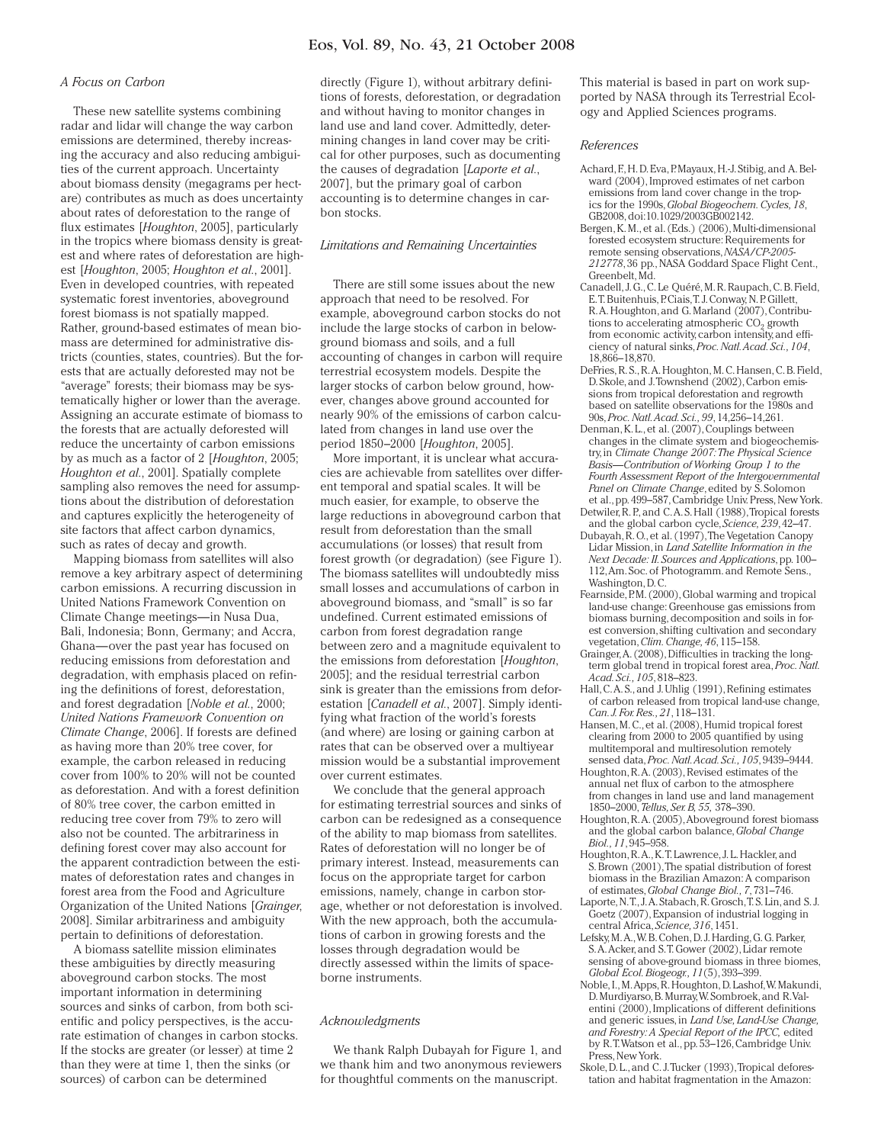# Eos, Vol. 89, No. 43, 21 October 2008

#### *A Focus on Carbon*

These new satellite systems combining radar and lidar will change the way carbon emissions are determined, thereby increasing the accuracy and also reducing ambiguities of the current approach. Uncertainty about biomass density (megagrams per hectare) contributes as much as does uncertainty about rates of deforestation to the range of flux estimates [*Houghton*, 2005], particularly in the tropics where biomass density is greatest and where rates of deforestation are highest [*Houghton*, 2005; *Houghton et al.*, 2001]. Even in developed countries, with repeated systematic forest inventories, aboveground forest biomass is not spatially mapped. Rather, ground-based estimates of mean biomass are determined for administrative districts (counties, states, countries). But the forests that are actually deforested may not be "average" forests; their biomass may be systematically higher or lower than the average. Assigning an accurate estimate of biomass to the forests that are actually deforested will reduce the uncertainty of carbon emissions by as much as a factor of 2 [*Houghton*, 2005; *Houghton et al.*, 2001]. Spatially complete sampling also removes the need for assumptions about the distribution of deforestation and captures explicitly the heterogeneity of site factors that affect carbon dynamics, such as rates of decay and growth.

Mapping biomass from satellites will also remove a key arbitrary aspect of determining carbon emissions. A recurring discussion in United Nations Framework Convention on Climate Change meetings—in Nusa Dua, Bali, Indonesia; Bonn, Germany; and Accra, Ghana—over the past year has focused on reducing emissions from deforestation and degradation, with emphasis placed on refining the definitions of forest, deforestation, and forest degradation [*Noble et al.*, 2000; *United Nations Framework Convention on Climate Change*, 2006]. If forests are defined as having more than 20% tree cover, for example, the carbon released in reducing cover from 100% to 20% will not be counted as deforestation. And with a forest definition of 80% tree cover, the carbon emitted in reducing tree cover from 79% to zero will also not be counted. The arbitrariness in defining forest cover may also account for the apparent contradiction between the estimates of deforestation rates and changes in forest area from the Food and Agriculture Organization of the United Nations [*Grainger*, 2008]. Similar arbitrariness and ambiguity pertain to definitions of deforestation.

A biomass satellite mission eliminates these ambiguities by directly measuring aboveground carbon stocks. The most important information in determining sources and sinks of carbon, from both scientific and policy perspectives, is the accurate estimation of changes in carbon stocks. If the stocks are greater (or lesser) at time 2 than they were at time 1, then the sinks (or sources) of carbon can be determined

directly (Figure 1), without arbitrary definitions of forests, deforestation, or degradation and without having to monitor changes in land use and land cover. Admittedly, determining changes in land cover may be critical for other purposes, such as documenting the causes of degradation [*Laporte et al.*, 2007], but the primary goal of carbon accounting is to determine changes in carbon stocks.

#### *Limitations and Remaining Uncertainties*

There are still some issues about the new approach that need to be resolved. For example, aboveground carbon stocks do not include the large stocks of carbon in belowground biomass and soils, and a full accounting of changes in carbon will require terrestrial ecosystem models. Despite the larger stocks of carbon below ground, however, changes above ground accounted for nearly 90% of the emissions of carbon calculated from changes in land use over the period 1850–2000 [*Houghton*, 2005].

More important, it is unclear what accuracies are achievable from satellites over different temporal and spatial scales. It will be much easier, for example, to observe the large reductions in aboveground carbon that result from deforestation than the small accumulations (or losses) that result from forest growth (or degradation) (see Figure 1). The biomass satellites will undoubtedly miss small losses and accumulations of carbon in aboveground biomass, and "small" is so far undefined. Current estimated emissions of carbon from forest degradation range between zero and a magnitude equivalent to the emissions from deforestation [*Houghton*, 2005]; and the residual terrestrial carbon sink is greater than the emissions from deforestation [*Canadell et al.*, 2007]. Simply identifying what fraction of the world's forests (and where) are losing or gaining carbon at rates that can be observed over a multiyear mission would be a substantial improvement over current estimates.

We conclude that the general approach for estimating terrestrial sources and sinks of carbon can be redesigned as a consequence of the ability to map biomass from satellites. Rates of deforestation will no longer be of primary interest. Instead, measurements can focus on the appropriate target for carbon emissions, namely, change in carbon storage, whether or not deforestation is involved. With the new approach, both the accumulations of carbon in growing forests and the losses through degradation would be directly assessed within the limits of spaceborne instruments.

#### *Acknowledgments*

We thank Ralph Dubayah for Figure 1, and we thank him and two anonymous reviewers for thoughtful comments on the manuscript.

This material is based in part on work supported by NASA through its Terrestrial Ecology and Applied Sciences programs.

#### *References*

- Achard, F., H. D. Eva, P. Mayaux, H.-J. Stibig, and A. Belward (2004), Improved estimates of net carbon emissions from land cover change in the tropics for the 1990s, *Global Biogeochem. Cycles, 18*, GB2008, doi:10.1029/2003GB002142.
- Bergen, K. M., et al. (Eds.) (2006), Multi-dimensional forested ecosystem structure: Requirements for remote sensing observations, *NASA/CP-2005- 212778*, 36 pp., NASA Goddard Space Flight Cent., Greenbelt, Md.
- Canadell, J. G., C. Le Quéré, M. R. Raupach, C. B. Field, E. T. Buitenhuis, P. Ciais, T. J. Conway, N. P. Gillett, R. A. Houghton, and G. Marland (2007), Contributions to accelerating atmospheric CO<sub>2</sub> growth from economic activity, carbon intensity, and efficiency of natural sinks, *Proc. Natl. Acad. Sci., 104*, 18,866–18,870.
- DeFries, R. S., R. A. Houghton, M. C. Hansen, C. B. Field, D. Skole, and J. Townshend (2002), Carbon emissions from tropical deforestation and regrowth based on satellite observations for the 1980s and 90s, *Proc. Natl. Acad. Sci., 99*, 14,256–14,261.
- Denman, K. L., et al. (2007), Couplings between changes in the climate system and biogeochemistry, in *Climate Change 2007: The Physical Science Basis—Contribution of Working Group 1 to the Fourth Assessment Report of the Intergovernmental Panel on Climate Change*, edited by S. Solomon et al., pp. 499–587, Cambridge Univ. Press, New York.
- Detwiler, R. P., and C. A. S. Hall (1988), Tropical forests and the global carbon cycle, *Science, 239*, 42–47.
- Dubayah, R. O., et al. (1997), The Vegetation Canopy Lidar Mission, in *Land Satellite Information in the Next Decade: II. Sources and Applications*, pp. 100– 112, Am. Soc. of Photogramm. and Remote Sens., Washington, D. C.
- Fearnside, P.M. (2000), Global warming and tropical land-use change: Greenhouse gas emissions from biomass burning, decomposition and soils in forest conversion, shifting cultivation and secondary vegetation, *Clim. Change, 46*, 115–158.
- Grainger, A. (2008), Difficulties in tracking the longterm global trend in tropical forest area, *Proc. Natl. Acad. Sci., 105*, 818–823.
- Hall, C. A. S., and J. Uhlig (1991), Refining estimates of carbon released from tropical land-use change, *Can. J. For. Res., 21*, 118–131.
- Hansen, M. C., et al. (2008), Humid tropical forest clearing from 2000 to 2005 quantified by using multitemporal and multiresolution remotely sensed data, *Proc. Natl. Acad. Sci., 105*, 9439–9444.
- Houghton, R. A. (2003), Revised estimates of the annual net flux of carbon to the atmosphere from changes in land use and land management 1850–2000, *Tellus, Ser. B, 55,* 378–390.
- Houghton, R. A. (2005), Aboveground forest biomass and the global carbon balance, *Global Change Biol., 11*, 945–958.
- Houghton, R. A., K. T. Lawrence, J. L. Hackler, and S. Brown (2001), The spatial distribution of forest biomass in the Brazilian Amazon: A comparison of estimates, *Global Change Biol., 7*, 731–746.
- Laporte, N. T., J. A. Stabach, R. Grosch, T. S. Lin, and S. J. Goetz (2007), Expansion of industrial logging in central Africa, *Science, 316*, 1451.
- Lefsky, M. A., W. B. Cohen, D. J. Harding, G. G. Parker, S. A. Acker, and S. T. Gower (2002), Lidar remote sensing of above-ground biomass in three biomes, *Global Ecol. Biogeogr., 11*(5), 393–399.
- Noble, I., M. Apps, R. Houghton, D. Lashof, W. Makundi, D. Murdiyarso, B. Murray, W. Sombroek, and R. Valentini (2000), Implications of different definitions and generic issues, in *Land Use, Land-Use Change, and Forestry: A Special Report of the IPCC,* edited by R. T. Watson et al., pp. 53–126, Cambridge Univ. Press, New York.
- Skole, D. L., and C. J. Tucker (1993), Tropical deforestation and habitat fragmentation in the Amazon: